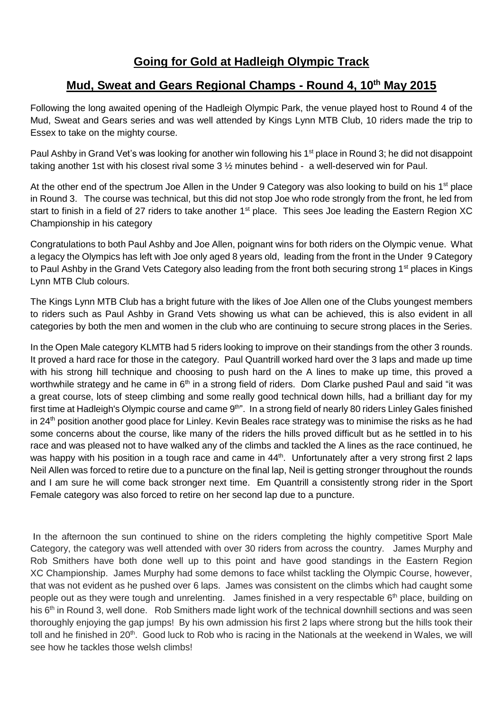## **Going for Gold at Hadleigh Olympic Track**

## **Mud, Sweat and Gears Regional Champs - Round 4, 10th May 2015**

Following the long awaited opening of the Hadleigh Olympic Park, the venue played host to Round 4 of the Mud, Sweat and Gears series and was well attended by Kings Lynn MTB Club, 10 riders made the trip to Essex to take on the mighty course.

Paul Ashby in Grand Vet's was looking for another win following his 1<sup>st</sup> place in Round 3; he did not disappoint taking another 1st with his closest rival some 3 ½ minutes behind - a well-deserved win for Paul.

At the other end of the spectrum Joe Allen in the Under 9 Category was also looking to build on his  $1<sup>st</sup>$  place in Round 3. The course was technical, but this did not stop Joe who rode strongly from the front, he led from start to finish in a field of 27 riders to take another 1<sup>st</sup> place. This sees Joe leading the Eastern Region XC Championship in his category

Congratulations to both Paul Ashby and Joe Allen, poignant wins for both riders on the Olympic venue. What a legacy the Olympics has left with Joe only aged 8 years old, leading from the front in the Under 9 Category to Paul Ashby in the Grand Vets Category also leading from the front both securing strong 1<sup>st</sup> places in Kings Lynn MTB Club colours.

The Kings Lynn MTB Club has a bright future with the likes of Joe Allen one of the Clubs youngest members to riders such as Paul Ashby in Grand Vets showing us what can be achieved, this is also evident in all categories by both the men and women in the club who are continuing to secure strong places in the Series.

In the Open Male category KLMTB had 5 riders looking to improve on their standings from the other 3 rounds. It proved a hard race for those in the category. Paul Quantrill worked hard over the 3 laps and made up time with his strong hill technique and choosing to push hard on the A lines to make up time, this proved a worthwhile strategy and he came in 6<sup>th</sup> in a strong field of riders. Dom Clarke pushed Paul and said "it was a great course, lots of steep climbing and some really good technical down hills, had a brilliant day for my first time at Hadleigh's Olympic course and came 9<sup>th"</sup>. In a strong field of nearly 80 riders Linley Gales finished in 24<sup>th</sup> position another good place for Linley. Kevin Beales race strategy was to minimise the risks as he had some concerns about the course, like many of the riders the hills proved difficult but as he settled in to his race and was pleased not to have walked any of the climbs and tackled the A lines as the race continued, he was happy with his position in a tough race and came in 44<sup>th</sup>. Unfortunately after a very strong first 2 laps Neil Allen was forced to retire due to a puncture on the final lap, Neil is getting stronger throughout the rounds and I am sure he will come back stronger next time. Em Quantrill a consistently strong rider in the Sport Female category was also forced to retire on her second lap due to a puncture.

In the afternoon the sun continued to shine on the riders completing the highly competitive Sport Male Category, the category was well attended with over 30 riders from across the country. James Murphy and Rob Smithers have both done well up to this point and have good standings in the Eastern Region XC Championship. James Murphy had some demons to face whilst tackling the Olympic Course, however, that was not evident as he pushed over 6 laps. James was consistent on the climbs which had caught some people out as they were tough and unrelenting. James finished in a very respectable 6<sup>th</sup> place, building on his 6<sup>th</sup> in Round 3, well done. Rob Smithers made light work of the technical downhill sections and was seen thoroughly enjoying the gap jumps! By his own admission his first 2 laps where strong but the hills took their toll and he finished in 20<sup>th</sup>. Good luck to Rob who is racing in the Nationals at the weekend in Wales, we will see how he tackles those welsh climbs!